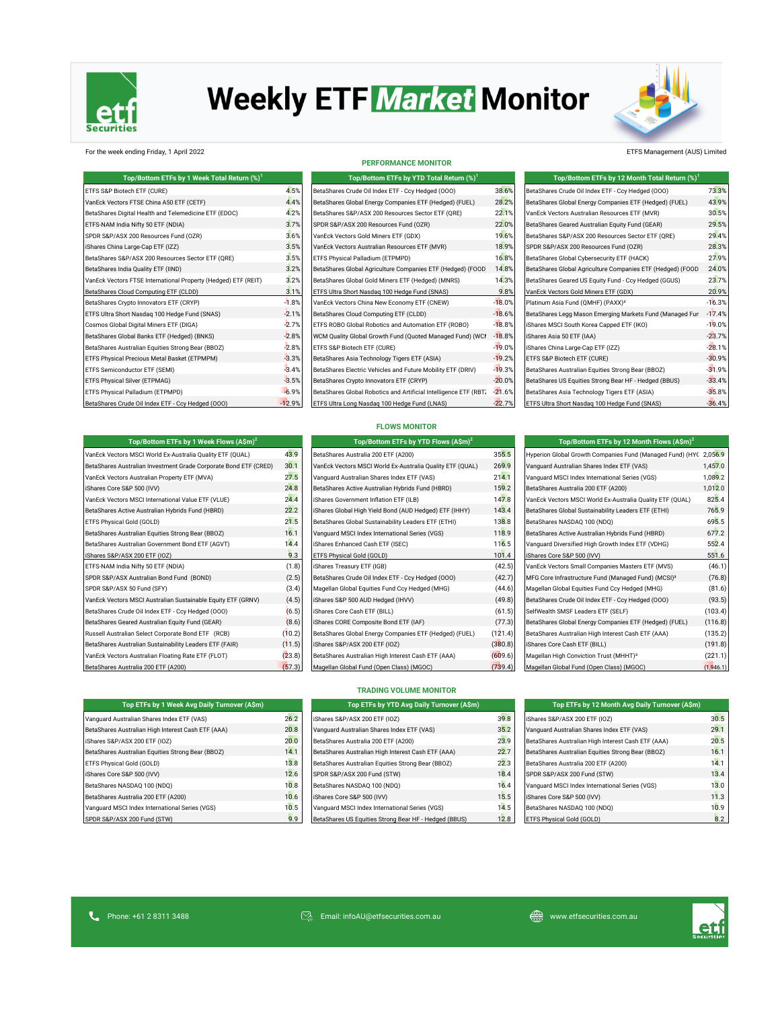

# **Weekly ETF Market Monitor**

**PERFORMANCE MONITOR**



### For the week ending Friday, 1 April 2022 ETFS Management (AUS) Limited

| Top/Bottom ETFs by 1 Week Total Return (%) <sup>1</sup>        |          |
|----------------------------------------------------------------|----------|
| ETFS S&P Biotech ETF (CURE)                                    | 4.5%     |
| VanEck Vectors FTSE China A50 ETF (CETF)                       | 4.4%     |
| BetaShares Digital Health and Telemedicine ETF (EDOC)          | 4.2%     |
| ETFS-NAM India Nifty 50 ETF (NDIA)                             | 3.7%     |
| SPDR S&P/ASX 200 Resources Fund (OZR)                          | 3.6%     |
| iShares China Large-Cap ETF (IZZ)                              | 3.5%     |
| BetaShares S&P/ASX 200 Resources Sector ETF (QRE)              | 3.5%     |
| BetaShares India Ouality ETF (IIND)                            | 3.2%     |
| VanEck Vectors FTSE International Property (Hedged) ETF (REIT) | 3.2%     |
| BetaShares Cloud Computing ETF (CLDD)                          | 3.1%     |
| BetaShares Crypto Innovators ETF (CRYP)                        | $-1.8%$  |
| ETFS Ultra Short Nasdag 100 Hedge Fund (SNAS)                  | $-2.1%$  |
| Cosmos Global Digital Miners ETF (DIGA)                        | $-2.7%$  |
| BetaShares Global Banks ETF (Hedged) (BNKS)                    | $-2.8%$  |
| BetaShares Australian Equities Strong Bear (BBOZ)              | $-2.8%$  |
| ETFS Physical Precious Metal Basket (ETPMPM)                   | $-3.3%$  |
| ETFS Semiconductor ETF (SEMI)                                  | $-3.4%$  |
| ETFS Physical Silver (ETPMAG)                                  | $-3.5%$  |
| ETFS Physical Palladium (ETPMPD)                               | $-6.9%$  |
| BetaShares Crude Oil Index ETF - Ccy Hedged (000)              | $-12.9%$ |

| Top/Bottom ETFs by YTD Total Return (%) <sup>1</sup>             |                      |
|------------------------------------------------------------------|----------------------|
| BetaShares Crude Oil Index ETF - Ccy Hedged (000)                | 38.6%                |
| BetaShares Global Energy Companies ETF (Hedged) (FUEL)           | 28.29                |
| BetaShares S&P/ASX 200 Resources Sector ETF (QRE)                | 22.19                |
| SPDR S&P/ASX 200 Resources Fund (OZR)                            | 22.0%                |
| VanEck Vectors Gold Miners ETF (GDX)                             | 19.6%                |
| VanEck Vectors Australian Resources ETF (MVR)                    | 18.99                |
| ETFS Physical Palladium (ETPMPD)                                 | 16.8%                |
| BetaShares Global Agriculture Companies ETF (Hedged) (FOOD       | 14.8%                |
| BetaShares Global Gold Miners ETF (Hedged) (MNRS)                | 14.39                |
| ETFS Ultra Short Nasdag 100 Hedge Fund (SNAS)                    | 9.8%                 |
| VanEck Vectors China New Economy ETF (CNEW)                      | $-18.0%$             |
| BetaShares Cloud Computing ETF (CLDD)                            | $-18.6%$             |
| ETFS ROBO Global Robotics and Automation ETF (ROBO)              | $-18.8$              |
| WCM Quality Global Growth Fund (Quoted Managed Fund) (WCI        | $-18.8%$             |
| ETFS S&P Biotech ETF (CURE)                                      | $-19.0$ <sup>9</sup> |
| BetaShares Asia Technology Tigers ETF (ASIA)                     | $-19.29$             |
| BetaShares Electric Vehicles and Future Mobility ETF (DRIV)      | $-19.39$             |
| BetaShares Crypto Innovators ETF (CRYP)                          | $-20.0$ <sup>9</sup> |
| BetaShares Global Robotics and Artificial Intelligence ETF (RBT) | $-21.69$             |
| ETFS Ultra Long Nasdag 100 Hedge Fund (LNAS)                     | $-22.7%$             |

### etaShares Crude Oil Index ETF - Ccy Hedged (OOO) <sup>73.3%</sup><br>etaShares Global Energy Companies ETF (Hedged) (FUEL) 43.9% etaShares Global Energy Companies ETF (Hedged) (FUEL)  $\sigma$ VanEck Vectors Australian Resources ETF (MVR)  $30.5\%$ etaShares Geared Australian Equity Fund (GEAR) 29.5% <mark>29.5</mark>% etaShares S&P/ASX 200 Resources Sector ETF (QRE) 29.4% iShares China Large-Cap ETF (IZZ) 3.5% SPDR S&P/ASX 200 Resources Fund (OZR) 28.3% SPDR S&P/ASX 200 Resources Fund (OZR) 28.3% etaShares Global Cybersecurity ETF (HACK) 27.9% etaShares Global Agriculture Companies ETF (Hedged) (FOOD) 24.0% VanEck Vectors FTSE International Property (Hedged) ETF (REIT) 3.2% BetaShares Global Gold Miners ETF (Hedged) (MNRS) 14.3% BetaShares Geared US Equity Fund - Ccy Hedged (GGUS) 23.7% anEck Vectors Gold Miners ETF (GDX) 20.9% <sup>20.9%</sup> Platinum Asia Fund (QMHF) (PAXX)<sup>3</sup>  $-16.3\%$ AUDUSD Curncy ETFS Ultra Short Nasdaq 100 Hedge Fund (SNAS) -2.1% BetaShares Cloud Computing ETF (CLDD) -18.6% BetaShares Legg Mason Emerging Markets Fund (Managed Fund) (EMMG) -17.4% iShares MSCI South Korea Capped ETF (IKO) -2.7% -19.0% -19.8% AUDJPY Curncy BetaShares Global Banks ETF (Hedged) (BNKS) -2.8% WCM Quality Global Growth Fund (Quoted Managed Fund) (WCMQ)-18.8% iShares Asia 50 ETF (IAA) -23.7% iShares China Large-Cap ETF (IZZ) -28.1% -2.8% ETF (IZZ)  $S\$  Physical Basket (ETPMPM) -30.9%  $\sim$  30.9%  $\sim$  30.9%  $\sim$  19.2% ETFS S&P Biotech ETF (CURE) -30.9%  $\sim$ SX5E Index ETFS Semiconductor ETF (SEMI) -3.4% BetaShares Electric Vehicles and Future Mobility ETF (DRIV) -19.3% BetaShares Australian Equities Strong Bear (BBOZ) -31.9% د -3.<br>133.4% BetaShares US Equities Strong Bear HF - Hedged (BBUS) BetaShares Asia Technology Tigers ETF (ASIA) -6.8% <mark>-35</mark>.8% JPY Curncy BetaShares Crude Oil Index ETF - Ccy Hedged (OOO) -12.9% ETFS Ultra Long Nasdaq 100 Hedge Fund (LNAS) -22.7% ETFS Ultra Short Nasdaq 100 Hedge Fund (SNAS) -36.4% **Top/Bottom ETFs by 12 Month Total Return (%)<sup>1</sup>**

| Top/Bottom ETFs by 1 Week Flows (A\$m) <sup>2</sup>              |        | Top/Bottom ETFs by YTD Flows $(A\sin)^2$                  |         | Top/Bottom ETFs by 12 Month Flows $(A\sin^2)$                     |           |  |
|------------------------------------------------------------------|--------|-----------------------------------------------------------|---------|-------------------------------------------------------------------|-----------|--|
| VanEck Vectors MSCI World Ex-Australia Quality ETF (QUAL)        | 43.9   | BetaShares Australia 200 ETF (A200)                       | 355.5   | Hyperion Global Growth Companies Fund (Managed Fund) (HYC 2,056.9 |           |  |
| BetaShares Australian Investment Grade Corporate Bond ETF (CRED) | 30.1   | VanEck Vectors MSCI World Ex-Australia Quality ETF (QUAL) | 269.9   | Vanquard Australian Shares Index ETF (VAS)                        | 1,457.0   |  |
| VanEck Vectors Australian Property ETF (MVA)                     | 27.5   | Vanguard Australian Shares Index ETF (VAS)                | 214.1   | Vanguard MSCI Index International Series (VGS)                    | 1,089.2   |  |
| iShares Core S&P 500 (IVV)                                       | 24.8   | BetaShares Active Australian Hybrids Fund (HBRD)          | 159.2   | BetaShares Australia 200 ETF (A200)                               | 1,012.0   |  |
| VanEck Vectors MSCI International Value ETF (VLUE)               | 24.4   | iShares Government Inflation ETF (ILB)                    | 147.8   | VanEck Vectors MSCI World Ex-Australia Quality ETF (QUAL)         | 825.4     |  |
| BetaShares Active Australian Hybrids Fund (HBRD)                 | 22.2   | iShares Global High Yield Bond (AUD Hedged) ETF (IHHY)    | 143.4   | BetaShares Global Sustainability Leaders ETF (ETHI)               | 765.9     |  |
| ETFS Physical Gold (GOLD)                                        | 21.5   | BetaShares Global Sustainability Leaders ETF (ETHI)       | 138.8   | BetaShares NASDAQ 100 (NDQ)                                       | 695.5     |  |
| BetaShares Australian Equities Strong Bear (BBOZ)                | 16.1   | Vanguard MSCI Index International Series (VGS)            | 118.9   | BetaShares Active Australian Hybrids Fund (HBRD)                  | 677.2     |  |
| BetaShares Australian Government Bond ETF (AGVT)                 | 14.4   | iShares Enhanced Cash ETF (ISEC)                          | 116.5   | Vanquard Diversified High Growth Index ETF (VDHG)                 | 552.4     |  |
| iShares S&P/ASX 200 ETF (IOZ)                                    | 9.3    | ETFS Physical Gold (GOLD)                                 | 101.4   | iShares Core S&P 500 (IVV)                                        | 551.6     |  |
| ETFS-NAM India Nifty 50 ETF (NDIA)                               | (1.8)  | iShares Treasury ETF (IGB)                                | (42.5)  | VanEck Vectors Small Companies Masters ETF (MVS)                  | (46.1)    |  |
| SPDR S&P/ASX Australian Bond Fund (BOND)                         | (2.5)  | BetaShares Crude Oil Index ETF - Ccy Hedged (000)         | (42.7)  | MFG Core Infrastructure Fund (Managed Fund) (MCSI) <sup>3</sup>   | (76.8)    |  |
| SPDR S&P/ASX 50 Fund (SFY)                                       | (3.4)  | Magellan Global Equities Fund Ccy Hedged (MHG)            | (44.6)  | Magellan Global Equities Fund Ccy Hedged (MHG)                    | (81.6)    |  |
| VanEck Vectors MSCI Australian Sustainable Equity ETF (GRNV)     | (4.5)  | iShares S&P 500 AUD Hedged (IHVV)                         | (49.8)  | BetaShares Crude Oil Index ETF - Ccy Hedged (000)                 | (93.5)    |  |
| BetaShares Crude Oil Index ETF - Ccy Hedged (000)                | (6.5)  | iShares Core Cash ETF (BILL)                              | (61.5)  | SelfWealth SMSF Leaders ETF (SELF)                                | (103.4)   |  |
| BetaShares Geared Australian Equity Fund (GEAR)                  | (8.6)  | iShares CORE Composite Bond ETF (IAF)                     | (77.3)  | BetaShares Global Energy Companies ETF (Hedged) (FUEL)            | (116.8)   |  |
| Russell Australian Select Corporate Bond ETF (RCB)               | (10.2) | BetaShares Global Energy Companies ETF (Hedged) (FUEL)    | (121.4) | BetaShares Australian High Interest Cash ETF (AAA)                | (135.2)   |  |
| BetaShares Australian Sustainability Leaders ETF (FAIR)          | (11.5) | iShares S&P/ASX 200 ETF (IOZ)                             | (380.8) | iShares Core Cash ETF (BILL)                                      | (191.8)   |  |
| VanEck Vectors Australian Floating Rate ETF (FLOT)               | (23.8) | BetaShares Australian High Interest Cash ETF (AAA)        | (609.6) | Magellan High Conviction Trust (MHHT) <sup>3</sup>                | (221.1)   |  |
| BetaShares Australia 200 ETF (A200)                              | (57.3) | Magellan Global Fund (Open Class) (MGOC)                  | (739.4) | Magellan Global Fund (Open Class) (MGOC)                          | (1,946.1) |  |

|  | <b>FLOWS MONITOR</b> |  |
|--|----------------------|--|
|  |                      |  |

| Top/Bottom ETFs by YTD Flows (A\$m) <sup>2</sup>          |         |
|-----------------------------------------------------------|---------|
| BetaShares Australia 200 ETF (A200)                       | 355.5   |
| VanEck Vectors MSCI World Ex-Australia Quality ETF (QUAL) | 269.9   |
| Vanquard Australian Shares Index ETF (VAS)                | 214.7   |
| BetaShares Active Australian Hybrids Fund (HBRD)          | 159.2   |
| iShares Government Inflation ETF (ILB)                    | 147.8   |
| iShares Global High Yield Bond (AUD Hedged) ETF (IHHY)    | 143.4   |
| BetaShares Global Sustainability Leaders ETF (ETHI)       | 138.8   |
| Vanquard MSCI Index International Series (VGS)            | 118.9   |
| iShares Enhanced Cash ETF (ISEC)                          | 116.    |
| ETFS Physical Gold (GOLD)                                 | 101.4   |
| iShares Treasury ETF (IGB)                                | (42.5)  |
| BetaShares Crude Oil Index ETF - Ccy Hedged (000)         | (42.7)  |
| Magellan Global Equities Fund Ccy Hedged (MHG)            | (44.6)  |
| iShares S&P 500 AUD Hedged (IHVV)                         | (49.8)  |
| iShares Core Cash ETF (BILL)                              | (61.5)  |
| iShares CORE Composite Bond ETF (IAF)                     | (77.3   |
| BetaShares Global Energy Companies ETF (Hedged) (FUEL)    | (121.4) |
| iShares S&P/ASX 200 ETF (IOZ)                             | (380.8) |
| BetaShares Australian High Interest Cash ETF (AAA)        | (609.6) |
| Magellan Global Fund (Open Class) (MGOC)                  | (739.4  |

| Top/Bottom ETFs by 12 Month Flows $(A\sin^2)$                                                                                                                                                                                                                                                                                                                                                                                                              |         |
|------------------------------------------------------------------------------------------------------------------------------------------------------------------------------------------------------------------------------------------------------------------------------------------------------------------------------------------------------------------------------------------------------------------------------------------------------------|---------|
| Hyperion Global Growth Companies Fund (Managed Fund) (HYC                                                                                                                                                                                                                                                                                                                                                                                                  | 2.056.9 |
| Vanguard Australian Shares Index ETF (VAS)                                                                                                                                                                                                                                                                                                                                                                                                                 | 1,457.0 |
| Vanquard MSCI Index International Series (VGS)                                                                                                                                                                                                                                                                                                                                                                                                             | 1,089.2 |
| BetaShares Australia 200 ETF (A200)                                                                                                                                                                                                                                                                                                                                                                                                                        | 1,012.0 |
| VanEck Vectors MSCI World Ex-Australia Quality ETF (QUAL)                                                                                                                                                                                                                                                                                                                                                                                                  | 825.4   |
| BetaShares Global Sustainability Leaders ETF (ETHI)                                                                                                                                                                                                                                                                                                                                                                                                        | 765.9   |
| BetaShares NASDAQ 100 (NDQ)                                                                                                                                                                                                                                                                                                                                                                                                                                | 695.5   |
| BetaShares Active Australian Hybrids Fund (HBRD)                                                                                                                                                                                                                                                                                                                                                                                                           | 677.2   |
| Vanquard Diversified High Growth Index ETF (VDHG)                                                                                                                                                                                                                                                                                                                                                                                                          | 552.4   |
| iShares Core S&P 500 (IVV)                                                                                                                                                                                                                                                                                                                                                                                                                                 | 551.6   |
| VanEck Vectors Small Companies Masters ETF (MVS)                                                                                                                                                                                                                                                                                                                                                                                                           | (46.1)  |
| MFG Core Infrastructure Fund (Managed Fund) (MCSI) <sup>3</sup>                                                                                                                                                                                                                                                                                                                                                                                            | (76.8)  |
| Magellan Global Equities Fund Ccy Hedged (MHG)                                                                                                                                                                                                                                                                                                                                                                                                             | (81.6)  |
| BetaShares Crude Oil Index ETF - Ccy Hedged (000)                                                                                                                                                                                                                                                                                                                                                                                                          | (93.5)  |
| SelfWealth SMSF Leaders ETF (SELF)                                                                                                                                                                                                                                                                                                                                                                                                                         | (103.4) |
| BetaShares Global Energy Companies ETF (Hedged) (FUEL)                                                                                                                                                                                                                                                                                                                                                                                                     | (116.8) |
| BetaShares Australian High Interest Cash ETF (AAA)                                                                                                                                                                                                                                                                                                                                                                                                         | (135.2) |
| iShares Core Cash ETF (BILL)                                                                                                                                                                                                                                                                                                                                                                                                                               | (191.8) |
| Magellan High Conviction Trust (MHHT) <sup>3</sup>                                                                                                                                                                                                                                                                                                                                                                                                         | (221.1) |
| $\mathbf{u} = \mathbf{u} \cdot \mathbf{v} + \mathbf{u} = \mathbf{u} \cdot \mathbf{v} + \mathbf{u} \cdot \mathbf{v} + \mathbf{u} \cdot \mathbf{v} + \mathbf{u} \cdot \mathbf{v} + \mathbf{u} \cdot \mathbf{v} + \mathbf{u} \cdot \mathbf{v} + \mathbf{u} \cdot \mathbf{v} + \mathbf{u} \cdot \mathbf{v} + \mathbf{u} \cdot \mathbf{v} + \mathbf{u} \cdot \mathbf{v} + \mathbf{u} \cdot \mathbf{v} + \mathbf{u} \cdot \mathbf{v} + \mathbf{u} \cdot \mathbf$ | .       |

|  |  | <b>TRADING VOLUME MONITOR</b> |
|--|--|-------------------------------|
|--|--|-------------------------------|

| Top ETFs by 1 Week Avg Daily Turnover (A\$m)       |      | Top ETFs by YTD Avg Daily Turnover (A\$m)             |      | Top ETFs by 12 Month Avg Daily Turnover (A\$m)     |      |
|----------------------------------------------------|------|-------------------------------------------------------|------|----------------------------------------------------|------|
| Vanquard Australian Shares Index ETF (VAS)         | 26.2 | iShares S&P/ASX 200 ETF (IOZ)                         | 39.8 | iShares S&P/ASX 200 ETF (IOZ)                      | 30.5 |
| BetaShares Australian High Interest Cash ETF (AAA) | 20.8 | Vanquard Australian Shares Index ETF (VAS)            | 35.2 | Vanquard Australian Shares Index ETF (VAS)         | 29.1 |
| iShares S&P/ASX 200 ETF (IOZ)                      | 20.0 | BetaShares Australia 200 ETF (A200)                   | 23.9 | BetaShares Australian High Interest Cash ETF (AAA) | 20.5 |
| BetaShares Australian Equities Strong Bear (BBOZ)  | 14.1 | BetaShares Australian High Interest Cash ETF (AAA)    | 22.7 | BetaShares Australian Equities Strong Bear (BBOZ)  | 16.1 |
| ETFS Physical Gold (GOLD)                          | 13.8 | BetaShares Australian Equities Strong Bear (BBOZ)     | 22.3 | BetaShares Australia 200 ETF (A200)                | 14.1 |
| iShares Core S&P 500 (IVV)                         | 12.6 | SPDR S&P/ASX 200 Fund (STW)                           | 18.4 | SPDR S&P/ASX 200 Fund (STW)                        | 13.4 |
| BetaShares NASDAQ 100 (NDQ)                        | 10.8 | BetaShares NASDAQ 100 (NDQ)                           | 16.4 | Vanquard MSCI Index International Series (VGS)     | 13.0 |
| BetaShares Australia 200 ETF (A200)                | 10.6 | iShares Core S&P 500 (IVV)                            | 15.5 | iShares Core S&P 500 (IVV)                         | 11.3 |
| Vanquard MSCI Index International Series (VGS)     | 10.5 | Vanquard MSCI Index International Series (VGS)        | 14.5 | BetaShares NASDAQ 100 (NDQ)                        | 10.9 |
| SPDR S&P/ASX 200 Fund (STW)                        | 9.9  | BetaShares US Equities Strong Bear HF - Hedged (BBUS) | 12.8 | ETFS Physical Gold (GOLD)                          | 8.2  |